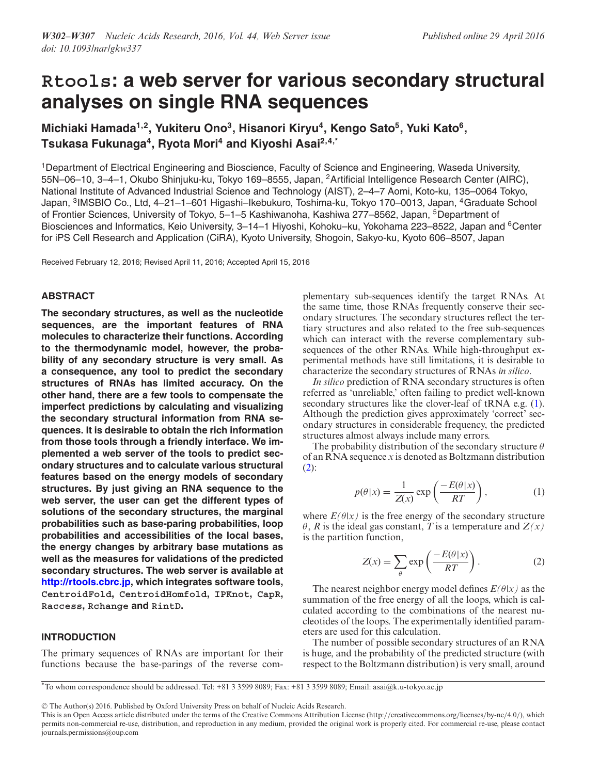# <span id="page-0-0"></span>**Rtools: a web server for various secondary structural analyses on single RNA sequences**

**Michiaki Hamada1,2, Yukiteru Ono3, Hisanori Kiryu4, Kengo Sato5, Yuki Kato6, Tsukasa Fukunaga4, Ryota Mori4 and Kiyoshi Asai2,4,\***

1Department of Electrical Engineering and Bioscience, Faculty of Science and Engineering, Waseda University, 55N–06–10, 3–4–1, Okubo Shinjuku-ku, Tokyo 169–8555, Japan, 2Artificial Intelligence Research Center (AIRC), National Institute of Advanced Industrial Science and Technology (AIST), 2–4–7 Aomi, Koto-ku, 135–0064 Tokyo, Japan, <sup>3</sup>IMSBIO Co., Ltd, 4-21-1-601 Higashi-Ikebukuro, Toshima-ku, Tokyo 170-0013, Japan, <sup>4</sup>Graduate School of Frontier Sciences, University of Tokyo, 5–1–5 Kashiwanoha, Kashiwa 277–8562, Japan, <sup>5</sup>Department of Biosciences and Informatics, Keio University, 3-14-1 Hiyoshi, Kohoku-ku, Yokohama 223-8522, Japan and <sup>6</sup>Center for iPS Cell Research and Application (CiRA), Kyoto University, Shogoin, Sakyo-ku, Kyoto 606–8507, Japan

Received February 12, 2016; Revised April 11, 2016; Accepted April 15, 2016

# **ABSTRACT**

**The secondary structures, as well as the nucleotide sequences, are the important features of RNA molecules to characterize their functions. According to the thermodynamic model, however, the probability of any secondary structure is very small. As a consequence, any tool to predict the secondary structures of RNAs has limited accuracy. On the other hand, there are a few tools to compensate the imperfect predictions by calculating and visualizing the secondary structural information from RNA sequences. It is desirable to obtain the rich information from those tools through a friendly interface. We implemented a web server of the tools to predict secondary structures and to calculate various structural features based on the energy models of secondary structures. By just giving an RNA sequence to the web server, the user can get the different types of solutions of the secondary structures, the marginal probabilities such as base-paring probabilities, loop probabilities and accessibilities of the local bases, the energy changes by arbitrary base mutations as well as the measures for validations of the predicted secondary structures. The web server is available at [http://rtools.cbrc.jp,](http://rtools.cbrc.jp) which integrates software tools, CentroidFold, CentroidHomfold, IPKnot, CapR, Raccess, Rchange and RintD.**

# **INTRODUCTION**

The primary sequences of RNAs are important for their functions because the base-parings of the reverse com-

plementary sub-sequences identify the target RNAs. At the same time, those RNAs frequently conserve their secondary structures. The secondary structures reflect the tertiary structures and also related to the free sub-sequences which can interact with the reverse complementary subsequences of the other RNAs. While high-throughput experimental methods have still limitations, it is desirable to characterize the secondary structures of RNAs *in silico*.

*In silico* prediction of RNA secondary structures is often referred as 'unreliable,' often failing to predict well-known secondary structures like the clover-leaf of tRNA e.g. [\(1\)](#page-5-0). Although the prediction gives approximately 'correct' secondary structures in considerable frequency, the predicted structures almost always include many errors.

The probability distribution of the secondary structure  $\theta$ of an RNA sequence *x* is denoted as Boltzmann distribution  $(2)$ :

$$
p(\theta|x) = \frac{1}{Z(x)} \exp\left(\frac{-E(\theta|x)}{RT}\right),\tag{1}
$$

where  $E(\theta|x)$  is the free energy of the secondary structure  $\theta$ , *R* is the ideal gas constant, *T* is a temperature and *Z(x)* is the partition function,

$$
Z(x) = \sum_{\theta} \exp\left(\frac{-E(\theta|x)}{RT}\right). \tag{2}
$$

The nearest neighbor energy model defines  $E(\theta|x)$  as the summation of the free energy of all the loops, which is calculated according to the combinations of the nearest nucleotides of the loops. The experimentally identified parameters are used for this calculation.

The number of possible secondary structures of an RNA is huge, and the probability of the predicted structure (with respect to the Boltzmann distribution) is very small, around

-<sup>C</sup> The Author(s) 2016. Published by Oxford University Press on behalf of Nucleic Acids Research.

<sup>\*</sup>To whom correspondence should be addressed. Tel: +81 3 3599 8089; Fax: +81 3 3599 8089; Email: asai@k.u-tokyo.ac.jp

This is an Open Access article distributed under the terms of the Creative Commons Attribution License (http://creativecommons.org/licenses/by-nc/4.0/), which permits non-commercial re-use, distribution, and reproduction in any medium, provided the original work is properly cited. For commercial re-use, please contact journals.permissions@oup.com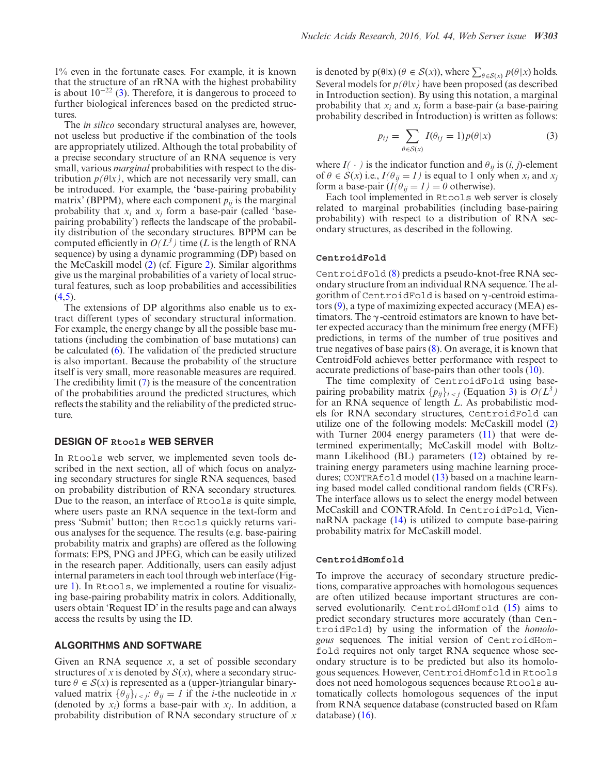1% even in the fortunate cases. For example, it is known that the structure of an rRNA with the highest probability is about  $10^{-22}$  [\(3\)](#page-5-0). Therefore, it is dangerous to proceed to further biological inferences based on the predicted structures.

The *in silico* secondary structural analyses are, however, not useless but productive if the combination of the tools are appropriately utilized. Although the total probability of a precise secondary structure of an RNA sequence is very small, various *marginal* probabilities with respect to the distribution  $p(\theta|x)$ , which are not necessarily very small, can be introduced. For example, the 'base-pairing probability matrix' (BPPM), where each component  $p_{ij}$  is the marginal probability that  $x_i$  and  $x_j$  form a base-pair (called 'basepairing probability') reflects the landscape of the probability distribution of the secondary structures. BPPM can be computed efficiently in  $O(L^3)$  time (*L* is the length of RNA sequence) by using a dynamic programming (DP) based on the McCaskill model [\(2\)](#page-5-0) (cf. Figure [2\)](#page-3-0). Similar algorithms give us the marginal probabilities of a variety of local structural features, such as loop probabilities and accessibilities  $(4,5)$ .

The extensions of DP algorithms also enable us to extract different types of secondary structural information. For example, the energy change by all the possible base mutations (including the combination of base mutations) can be calculated [\(6\)](#page-5-0). The validation of the predicted structure is also important. Because the probability of the structure itself is very small, more reasonable measures are required. The credibility limit [\(7\)](#page-5-0) is the measure of the concentration of the probabilities around the predicted structures, which reflects the stability and the reliability of the predicted structure.

## **DESIGN OF Rtools WEB SERVER**

In Rtools web server, we implemented seven tools described in the next section, all of which focus on analyzing secondary structures for single RNA sequences, based on probability distribution of RNA secondary structures. Due to the reason, an interface of Rtools is quite simple, where users paste an RNA sequence in the text-form and press 'Submit' button; then Rtools quickly returns various analyses for the sequence. The results (e.g. base-pairing probability matrix and graphs) are offered as the following formats: EPS, PNG and JPEG, which can be easily utilized in the research paper. Additionally, users can easily adjust internal parameters in each tool through web interface (Figure [1\)](#page-2-0). In Rtools, we implemented a routine for visualizing base-pairing probability matrix in colors. Additionally, users obtain 'Request ID' in the results page and can always access the results by using the ID.

# **ALGORITHMS AND SOFTWARE**

Given an RNA sequence *x*, a set of possible secondary structures of *x* is denoted by  $S(x)$ , where a secondary structure  $\theta \in S(x)$  is represented as a (upper-)triangular binaryvalued matrix  $\{\theta_{ij}\}_{i \leq j}$ :  $\theta_{ij} = 1$  if the *i*-the nucleotide in *x* (denoted by  $x_i$ ) forms a base-pair with  $x_i$ . In addition, a probability distribution of RNA secondary structure of *x*

is denoted by  $p(\theta|x)$  ( $\theta \in S(x)$ ), where  $\sum_{\theta \in S(x)} p(\theta|x)$  holds. Several models for  $p(\theta|x)$  have been proposed (as described in Introduction section). By using this notation, a marginal probability that *xi* and *xj* form a base-pair (a base-pairing probability described in Introduction) is written as follows:

$$
p_{ij} = \sum_{\theta \in S(x)} I(\theta_{ij} = 1) p(\theta | x)
$$
 (3)

where  $I(\cdot)$  is the indicator function and  $\theta_{ij}$  is  $(i, j)$ -element of  $\theta \in S(x)$  i.e.,  $I(\theta_{ij} = I)$  is equal to 1 only when  $x_i$  and  $x_j$ form a base-pair  $(I(\theta_{ij} = I) = 0$  otherwise).

Each tool implemented in Rtools web server is closely related to marginal probabilities (including base-pairing probability) with respect to a distribution of RNA secondary structures, as described in the following.

## **CentroidFold**

CentroidFold [\(8\)](#page-5-0) predicts a pseudo-knot-free RNA secondary structure from an individual RNA sequence. The algorithm of CentroidFold is based on  $\gamma$ -centroid estimators [\(9\)](#page-5-0), a type of maximizing expected accuracy (MEA) estimators. The  $\gamma$ -centroid estimators are known to have better expected accuracy than the minimum free energy (MFE) predictions, in terms of the number of true positives and true negatives of base pairs [\(8\)](#page-5-0). On average, it is known that CentroidFold achieves better performance with respect to accurate predictions of base-pairs than other tools [\(10\)](#page-5-0).

The time complexity of CentroidFold using basepairing probability matrix  $\{p_{ij}\}_{i \leq j}$  (Equation 3) is  $O(L^3)$ for an RNA sequence of length *L*. As probabilistic models for RNA secondary structures, CentroidFold can utilize one of the following models: McCaskill model [\(2\)](#page-5-0) with Turner 2004 energy parameters [\(11\)](#page-5-0) that were determined experimentally; McCaskill model with Boltzmann Likelihood (BL) parameters [\(12\)](#page-5-0) obtained by retraining energy parameters using machine learning proce-dures; CONTRAfold model [\(13\)](#page-5-0) based on a machine learning based model called conditional random fields (CRFs). The interface allows us to select the energy model between McCaskill and CONTRAfold. In CentroidFold, ViennaRNA package [\(14\)](#page-5-0) is utilized to compute base-pairing probability matrix for McCaskill model.

#### **CentroidHomfold**

To improve the accuracy of secondary structure predictions, comparative approaches with homologous sequences are often utilized because important structures are conserved evolutionarily. CentroidHomfold [\(15\)](#page-5-0) aims to predict secondary structures more accurately (than CentroidFold) by using the information of the *homologous* sequences. The initial version of CentroidHomfold requires not only target RNA sequence whose secondary structure is to be predicted but also its homologous sequences. However, CentroidHomfold in Rtools does not need homologous sequences because Rtools automatically collects homologous sequences of the input from RNA sequence database (constructed based on Rfam database) [\(16\)](#page-5-0).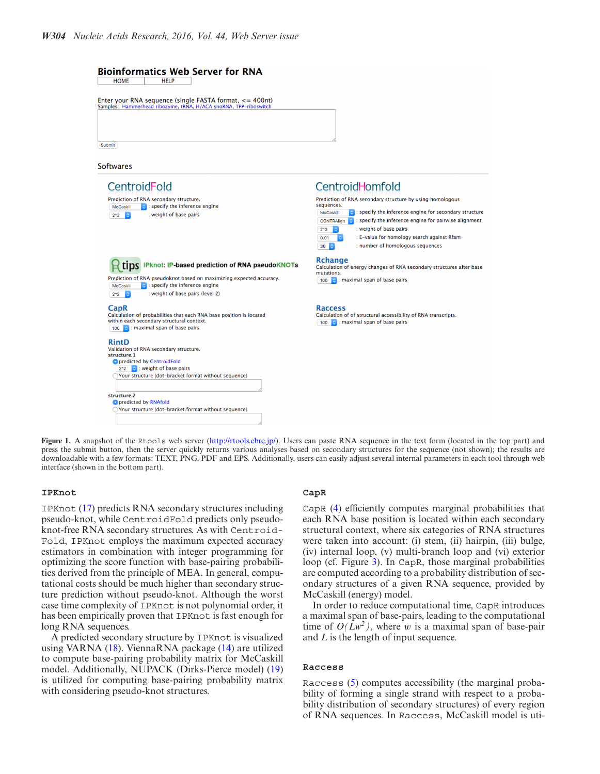<span id="page-2-0"></span>

Figure 1. A snapshot of the Rtools web server [\(http://rtools.cbrc.jp/\)](http://rtools.cbrc.jp/). Users can paste RNA sequence in the text form (located in the top part) and press the submit button, then the server quickly returns various analyses based on secondary structures for the sequence (not shown); the results are downloadable with a few formats: TEXT, PNG, PDF and EPS. Additionally, users can easily adjust several internal parameters in each tool through web interface (shown in the bottom part).

## **IPKnot**

IPKnot [\(17\)](#page-5-0) predicts RNA secondary structures including pseudo-knot, while CentroidFold predicts only pseudoknot-free RNA secondary structures. As with Centroid-Fold, IPKnot employs the maximum expected accuracy estimators in combination with integer programming for optimizing the score function with base-pairing probabilities derived from the principle of MEA. In general, computational costs should be much higher than secondary structure prediction without pseudo-knot. Although the worst case time complexity of IPKnot is not polynomial order, it has been empirically proven that IPKnot is fast enough for long RNA sequences.

A predicted secondary structure by IPKnot is visualized using VARNA [\(18\)](#page-5-0). ViennaRNA package [\(14\)](#page-5-0) are utilized to compute base-pairing probability matrix for McCaskill model. Additionally, NUPACK (Dirks-Pierce model) [\(19\)](#page-5-0) is utilized for computing base-pairing probability matrix with considering pseudo-knot structures.

## **CapR**

CapR [\(4\)](#page-5-0) efficiently computes marginal probabilities that each RNA base position is located within each secondary structural context, where six categories of RNA structures were taken into account: (i) stem, (ii) hairpin, (iii) bulge, (iv) internal loop, (v) multi-branch loop and (vi) exterior loop (cf. Figure [3\)](#page-3-0). In CapR, those marginal probabilities are computed according to a probability distribution of secondary structures of a given RNA sequence, provided by McCaskill (energy) model.

In order to reduce computational time, CapR introduces a maximal span of base-pairs, leading to the computational time of  $O(Lw^2)$ , where w is a maximal span of base-pair and *L* is the length of input sequence.

#### **Raccess**

Raccess [\(5\)](#page-5-0) computes accessibility (the marginal probability of forming a single strand with respect to a probability distribution of secondary structures) of every region of RNA sequences. In Raccess, McCaskill model is uti-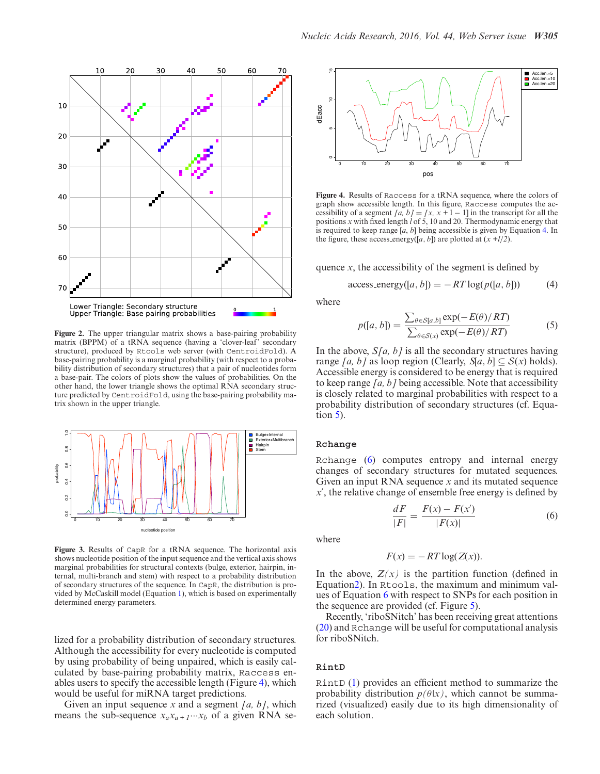<span id="page-3-0"></span>

**Figure 2.** The upper triangular matrix shows a base-pairing probability matrix (BPPM) of a tRNA sequence (having a 'clover-leaf' secondary structure), produced by Rtools web server (with CentroidFold). A base-pairing probability is a marginal probability (with respect to a probability distribution of secondary structures) that a pair of nucleotides form a base-pair. The colors of plots show the values of probabilities. On the other hand, the lower triangle shows the optimal RNA secondary structure predicted by CentroidFold, using the base-pairing probability matrix shown in the upper triangle.



**Figure 3.** Results of CapR for a tRNA sequence. The horizontal axis shows nucleotide position of the input sequence and the vertical axis shows marginal probabilities for structural contexts (bulge, exterior, hairpin, internal, multi-branch and stem) with respect to a probability distribution of secondary structures of the sequence. In CapR, the distribution is provided by McCaskill model (Equation [1\)](#page-0-0), which is based on experimentally determined energy parameters.

lized for a probability distribution of secondary structures. Although the accessibility for every nucleotide is computed by using probability of being unpaired, which is easily calculated by base-pairing probability matrix, Raccess enables users to specify the accessible length (Figure 4), which would be useful for miRNA target predictions.

Given an input sequence *x* and a segment *[a, b]*, which means the sub-sequence  $x_a x_{a+1} \cdots x_b$  of a given RNA se-



**Figure 4.** Results of Raccess for a tRNA sequence, where the colors of graph show accessible length. In this figure, Raccess computes the accessibility of a segment *[a, b]* = *[x, x* + 1 – 1] in the transcript for all the positions *x* with fixed length *l* of 5, 10 and 20. Thermodynamic energy that is required to keep range [*a*, *b*] being accessible is given by Equation 4. In the figure, these access energy([a, b]) are plotted at  $(x + l/2)$ .

quence  $x$ , the accessibility of the segment is defined by

$$
access\_energy([a, b]) = -RT \log(p([a, b])) \tag{4}
$$

where

$$
p([a, b]) = \frac{\sum_{\theta \in S[a, b]} \exp(-E(\theta)/RT)}{\sum_{\theta \in S(x)} \exp(-E(\theta)/RT)}
$$
(5)

In the above, *S[a, b]* is all the secondary structures having range *[a, b]* as loop region (Clearly,  $\mathfrak{a}[a, b] \subseteq \mathcal{S}(x)$  holds). Accessible energy is considered to be energy that is required to keep range *[a, b]* being accessible. Note that accessibility is closely related to marginal probabilities with respect to a probability distribution of secondary structures (cf. Equation 5).

#### **Rchange**

Rchange [\(6\)](#page-5-0) computes entropy and internal energy changes of secondary structures for mutated sequences. Given an input RNA sequence *x* and its mutated sequence *x* , the relative change of ensemble free energy is defined by

$$
\frac{dF}{|F|} = \frac{F(x) - F(x')}{|F(x)|} \tag{6}
$$

where

$$
F(x) = -RT \log(Z(x)).
$$

In the above,  $Z(x)$  is the partition function (defined in Equatio[n2\)](#page-0-0). In Rtools, the maximum and minimum values of Equation 6 with respect to SNPs for each position in the sequence are provided (cf. Figure [5\)](#page-4-0).

Recently, 'riboSNitch' has been receiving great attentions [\(20\)](#page-5-0) and Rchange will be useful for computational analysis for riboSNitch.

#### **RintD**

RintD [\(1\)](#page-5-0) provides an efficient method to summarize the probability distribution  $p(\theta|x)$ , which cannot be summarized (visualized) easily due to its high dimensionality of each solution.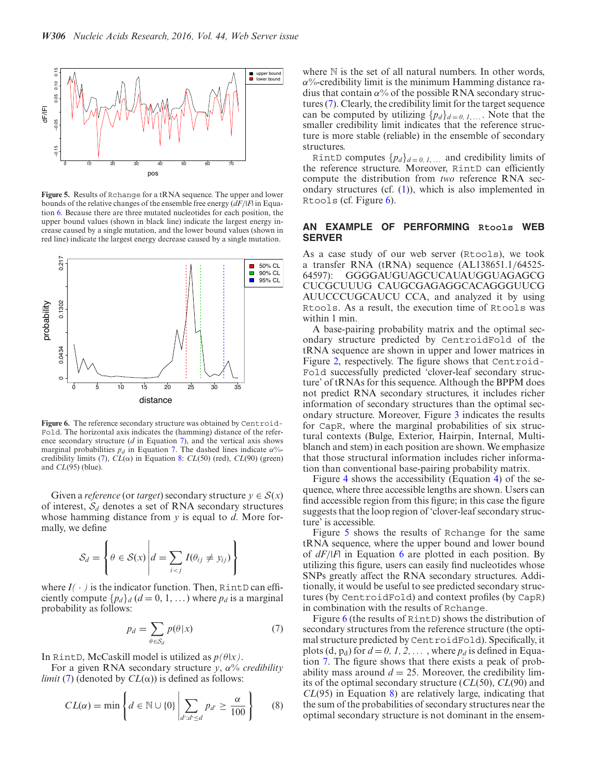<span id="page-4-0"></span>

**Figure 5.** Results of Rchange for a tRNA sequence. The upper and lower bounds of the relative changes of the ensemble free energy (*dF*/|*F*| in Equation [6.](#page-3-0) Because there are three mutated nucleotides for each position, the upper bound values (shown in black line) indicate the largest energy increase caused by a single mutation, and the lower bound values (shown in red line) indicate the largest energy decrease caused by a single mutation.



Figure 6. The reference secondary structure was obtained by Centroid-Fold. The horizontal axis indicates the (hamming) distance of the reference secondary structure (*d* in Equation 7), and the vertical axis shows marginal probabilities  $p_d$  in Equation 7. The dashed lines indicate  $\alpha$ %-credibility limits [\(7\)](#page-5-0),  $CL(\alpha)$  in Equation 8:  $CL(50)$  (red),  $CL(90)$  (green) and *CL*(95) (blue).

Given a *reference* (or *target*) secondary structure  $y \in S(x)$ of interest, S*<sup>d</sup>* denotes a set of RNA secondary structures whose hamming distance from *y* is equal to *d*. More formally, we define

$$
S_d = \left\{ \theta \in S(x) \middle| d = \sum_{i < j} I(\theta_{ij} \neq y_{ij}) \right\}
$$

where  $I(\cdot)$  is the indicator function. Then, Rint D can efficiently compute  $\{p_d\}_d$  ( $d = 0, 1, ...$ ) where  $p_d$  is a marginal probability as follows:

$$
p_d = \sum_{\theta \in \mathcal{S}_d} p(\theta | x) \tag{7}
$$

In RintD, McCaskill model is utilized as  $p(\theta|x)$ .

For a given RNA secondary structure *y*, α% *credibility limit* [\(7\)](#page-5-0) (denoted by  $CL(\alpha)$ ) is defined as follows:

$$
CL(\alpha) = \min \left\{ d \in \mathbb{N} \cup \{0\} \left| \sum_{d': d' \le d} p_{d'} \ge \frac{\alpha}{100} \right. \right\} \qquad (8)
$$

where  $\mathbb N$  is the set of all natural numbers. In other words,  $\alpha$ %-credibility limit is the minimum Hamming distance radius that contain  $\alpha$ % of the possible RNA secondary structures [\(7\)](#page-5-0). Clearly, the credibility limit for the target sequence can be computed by utilizing  $\{p_d\}_{d=0,1,\ldots}$ . Note that the smaller credibility limit indicates that the reference structure is more stable (reliable) in the ensemble of secondary structures.

RintD computes  $\{p_d\}_{d=0,1,...}$  and credibility limits of the reference structure. Moreover, RintD can efficiently compute the distribution from *two* reference RNA secondary structures (cf.  $(1)$ ), which is also implemented in Rtools (cf. Figure 6).

# **AN EXAMPLE OF PERFORMING Rtools WEB SERVER**

As a case study of our web server (Rtools), we took a transfer RNA (tRNA) sequence (AL138651.1/64525- 64597): GGGGAUGUAGCUCAUAUGGUAGAGCG CUCGCUUUG CAUGCGAGAGGCACAGGGUUCG AUUCCCUGCAUCU CCA, and analyzed it by using Rtools. As a result, the execution time of Rtools was within 1 min.

A base-pairing probability matrix and the optimal secondary structure predicted by CentroidFold of the tRNA sequence are shown in upper and lower matrices in Figure [2,](#page-3-0) respectively. The figure shows that Centroid-Fold successfully predicted 'clover-leaf secondary structure' of tRNAs for this sequence. Although the BPPM does not predict RNA secondary structures, it includes richer information of secondary structures than the optimal secondary structure. Moreover, Figure [3](#page-3-0) indicates the results for CapR, where the marginal probabilities of six structural contexts (Bulge, Exterior, Hairpin, Internal, Multiblanch and stem) in each position are shown. We emphasize that those structural information includes richer information than conventional base-pairing probability matrix.

Figure [4](#page-3-0) shows the accessibility (Equation [4\)](#page-3-0) of the sequence, where three accessible lengths are shown. Users can find accessible region from this figure; in this case the figure suggests that the loop region of 'clover-leaf secondary structure' is accessible.

Figure 5 shows the results of Rchange for the same tRNA sequence, where the upper bound and lower bound of *dF*/|*F*| in Equation [6](#page-3-0) are plotted in each position. By utilizing this figure, users can easily find nucleotides whose SNPs greatly affect the RNA secondary structures. Additionally, it would be useful to see predicted secondary structures (by CentroidFold) and context profiles (by CapR) in combination with the results of Rchange.

Figure 6 (the results of RintD) shows the distribution of secondary structures from the reference structure (the optimal structure predicted by CentroidFold). Specifically, it plots (d,  $p_d$ ) for  $d = 0, 1, 2, \ldots$ , where  $p_d$  is defined in Equation 7. The figure shows that there exists a peak of probability mass around  $d = 25$ . Moreover, the credibility limits of the optimal secondary structure (*CL*(50), *CL*(90) and *CL*(95) in Equation 8) are relatively large, indicating that the sum of the probabilities of secondary structures near the optimal secondary structure is not dominant in the ensem-